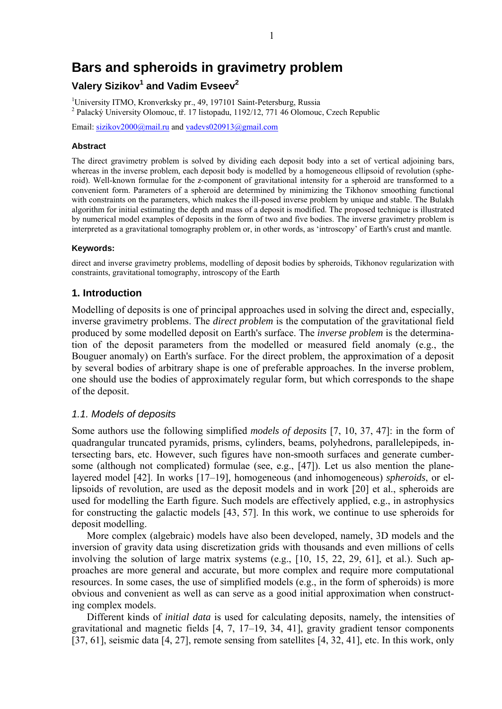# **Bars and spheroids in gravimetry problem**

# **Valery Sizikov<sup>1</sup> and Vadim Evseev<sup>2</sup>**

<sup>1</sup>University ITMO, Kronverksky pr., 49, 197101 Saint-Petersburg, Russia <sup>2</sup> Palacký University Olomouc, tř. 17 listopadu, 1192/12, 771 46 Olomouc, Czech Republic

Email: sizikov2000@mail.ru and vadevs020913@gmail.com

#### **Abstract**

The direct gravimetry problem is solved by dividing each deposit body into a set of vertical adjoining bars, whereas in the inverse problem, each deposit body is modelled by a homogeneous ellipsoid of revolution (spheroid). Well-known formulae for the *z-*component of gravitational intensity for a spheroid are transformed to a convenient form. Parameters of a spheroid are determined by minimizing the Tikhonov smoothing functional with constraints on the parameters, which makes the ill-posed inverse problem by unique and stable. The Bulakh algorithm for initial estimating the depth and mass of a deposit is modified. The proposed technique is illustrated by numerical model examples of deposits in the form of two and five bodies. The inverse gravimetry problem is interpreted as a gravitational tomography problem or, in other words, as 'introscopy' of Earth's crust and mantle.

#### **Keywords:**

direct and inverse gravimetry problems, modelling of deposit bodies by spheroids, Tikhonov regularization with constraints, gravitational tomography, introscopy of the Earth

# **1. Introduction**

Modelling of deposits is one of principal approaches used in solving the direct and, especially, inverse gravimetry problems. The *direct problem* is the computation of the gravitational field produced by some modelled deposit on Earth's surface. The *inverse problem* is the determination of the deposit parameters from the modelled or measured field anomaly (e.g., the Bouguer anomaly) on Earth's surface. For the direct problem, the approximation of a deposit by several bodies of arbitrary shape is one of preferable approaches. In the inverse problem, one should use the bodies of approximately regular form, but which corresponds to the shape of the deposit.

# *1.1. Models of deposits*

Some authors use the following simplified *models of deposits* [7, 10, 37, 47]: in the form of quadrangular truncated pyramids, prisms, cylinders, beams, polyhedrons, parallelepipeds, intersecting bars, etc. However, such figures have non-smooth surfaces and generate cumbersome (although not complicated) formulae (see, e.g., [47]). Let us also mention the planelayered model [42]. In works [17–19], homogeneous (and inhomogeneous) *spheroids*, or ellipsoids of revolution, are used as the deposit models and in work [20] et al., spheroids are used for modelling the Earth figure. Such models are effectively applied, e.g., in astrophysics for constructing the galactic models [43, 57]. In this work, we continue to use spheroids for deposit modelling.

More complex (algebraic) models have also been developed, namely, 3D models and the inversion of gravity data using discretization grids with thousands and even millions of cells involving the solution of large matrix systems (e.g., [10, 15, 22, 29, 61], et al.). Such approaches are more general and accurate, but more complex and require more computational resources. In some cases, the use of simplified models (e.g., in the form of spheroids) is more obvious and convenient as well as can serve as a good initial approximation when constructing complex models.

Different kinds of *initial data* is used for calculating deposits, namely, the intensities of gravitational and magnetic fields [4, 7, 17–19, 34, 41], gravity gradient tensor components [37, 61], seismic data [4, 27], remote sensing from satellites [4, 32, 41], etc. In this work, only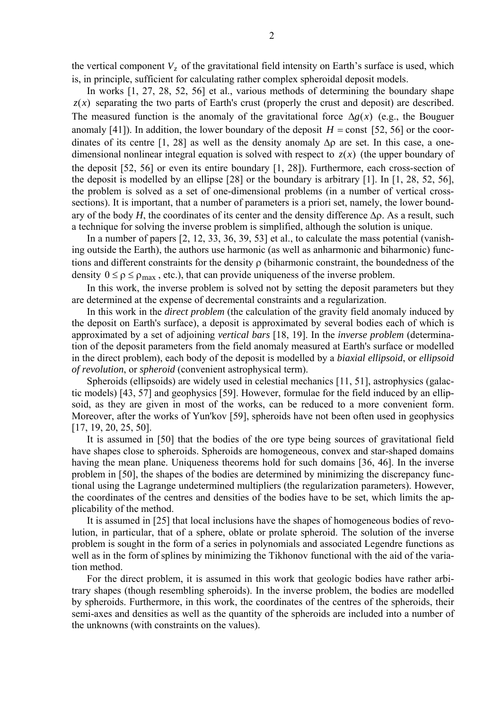the vertical component  $V_z$  of the gravitational field intensity on Earth's surface is used, which is, in principle, sufficient for calculating rather complex spheroidal deposit models.

In works [1, 27, 28, 52, 56] et al., various methods of determining the boundary shape  $z(x)$  separating the two parts of Earth's crust (properly the crust and deposit) are described. The measured function is the anomaly of the gravitational force  $\Delta g(x)$  (e.g., the Bouguer anomaly [41]). In addition, the lower boundary of the deposit  $H = \text{const}$  [52, 56] or the coordinates of its centre [1, 28] as well as the density anomaly  $\Delta \rho$  are set. In this case, a onedimensional nonlinear integral equation is solved with respect to  $z(x)$  (the upper boundary of the deposit [52, 56] or even its entire boundary [1, 28]). Furthermore, each cross-section of the deposit is modelled by an ellipse [28] or the boundary is arbitrary [1]. In [1, 28, 52, 56], the problem is solved as a set of one-dimensional problems (in a number of vertical crosssections). It is important, that a number of parameters is a priori set, namely, the lower boundary of the body  $H$ , the coordinates of its center and the density difference  $\Delta \rho$ . As a result, such a technique for solving the inverse problem is simplified, although the solution is unique.

In a number of papers [2, 12, 33, 36, 39, 53] et al., to calculate the mass potential (vanishing outside the Earth), the authors use harmonic (as well as anharmonic and biharmonic) functions and different constraints for the density ρ (biharmonic constraint, the boundedness of the density  $0 \le \rho \le \rho_{\text{max}}$ , etc.), that can provide uniqueness of the inverse problem.

In this work, the inverse problem is solved not by setting the deposit parameters but they are determined at the expense of decremental constraints and a regularization.

In this work in the *direct problem* (the calculation of the gravity field anomaly induced by the deposit on Earth's surface), a deposit is approximated by several bodies each of which is approximated by a set of adjoining *vertical bars* [18, 19]. In the *inverse problem* (determination of the deposit parameters from the field anomaly measured at Earth's surface or modelled in the direct problem), each body of the deposit is modelled by a *biaxial ellipsoid*, or *ellipsoid of revolution*, or *spheroid* (convenient astrophysical term).

Spheroids (ellipsoids) are widely used in celestial mechanics [11, 51], astrophysics (galactic models) [43, 57] and geophysics [59]. However, formulae for the field induced by an ellipsoid, as they are given in most of the works, can be reduced to a more convenient form. Moreover, after the works of Yun'kov [59], spheroids have not been often used in geophysics [17, 19, 20, 25, 50].

It is assumed in [50] that the bodies of the ore type being sources of gravitational field have shapes close to spheroids. Spheroids are homogeneous, convex and star-shaped domains having the mean plane. Uniqueness theorems hold for such domains [36, 46]. In the inverse problem in [50], the shapes of the bodies are determined by minimizing the discrepancy functional using the Lagrange undetermined multipliers (the regularization parameters). However, the coordinates of the centres and densities of the bodies have to be set, which limits the applicability of the method.

It is assumed in [25] that local inclusions have the shapes of homogeneous bodies of revolution, in particular, that of a sphere, oblate or prolate spheroid. The solution of the inverse problem is sought in the form of a series in polynomials and associated Legendre functions as well as in the form of splines by minimizing the Tikhonov functional with the aid of the variation method.

For the direct problem, it is assumed in this work that geologic bodies have rather arbitrary shapes (though resembling spheroids). In the inverse problem, the bodies are modelled by spheroids. Furthermore, in this work, the coordinates of the centres of the spheroids, their semi-axes and densities as well as the quantity of the spheroids are included into a number of the unknowns (with constraints on the values).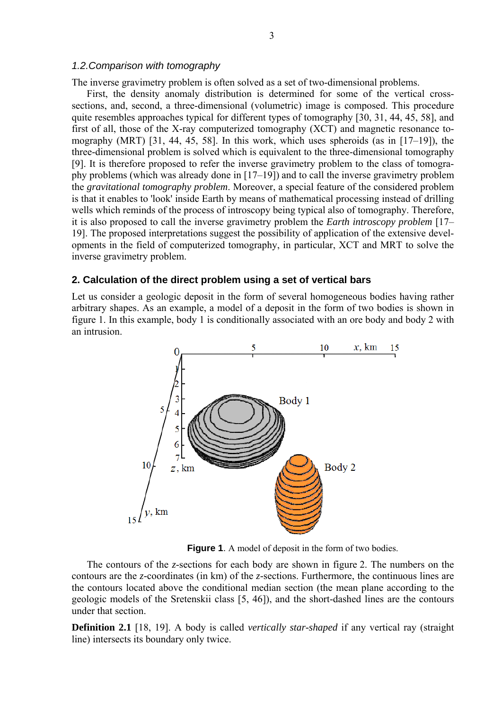#### *1.2.Comparison with tomography*

The inverse gravimetry problem is often solved as a set of two-dimensional problems.

First, the density anomaly distribution is determined for some of the vertical crosssections, and, second, a three-dimensional (volumetric) image is composed. This procedure quite resembles approaches typical for different types of tomography [30, 31, 44, 45, 58], and first of all, those of the X-ray computerized tomography (XCT) and magnetic resonance tomography (MRT) [31, 44, 45, 58]. In this work, which uses spheroids (as in [17–19]), the three-dimensional problem is solved which is equivalent to the three-dimensional tomography [9]. It is therefore proposed to refer the inverse gravimetry problem to the class of tomography problems (which was already done in [17–19]) and to call the inverse gravimetry problem the *gravitational tomography problem*. Moreover, a special feature of the considered problem is that it enables to 'look' inside Earth by means of mathematical processing instead of drilling wells which reminds of the process of introscopy being typical also of tomography. Therefore, it is also proposed to call the inverse gravimetry problem the *Earth introscopy problem* [17– 19]. The proposed interpretations suggest the possibility of application of the extensive developments in the field of computerized tomography, in particular, XCT and MRT to solve the inverse gravimetry problem.

# **2. Calculation of the direct problem using a set of vertical bars**

Let us consider a geologic deposit in the form of several homogeneous bodies having rather arbitrary shapes. As an example, a model of a deposit in the form of two bodies is shown in figure 1. In this example, body 1 is conditionally associated with an ore body and body 2 with an intrusion.



**Figure 1**. A model of deposit in the form of two bodies.

The contours of the *z*-sections for each body are shown in figure 2. The numbers on the contours are the *z-*coordinates (in km) of the *z*-sections. Furthermore, the continuous lines are the contours located above the conditional median section (the mean plane according to the geologic models of the Sretenskii class [5, 46]), and the short-dashed lines are the contours under that section.

**Definition 2.1** [18, 19]. A body is called *vertically star-shaped* if any vertical ray (straight line) intersects its boundary only twice.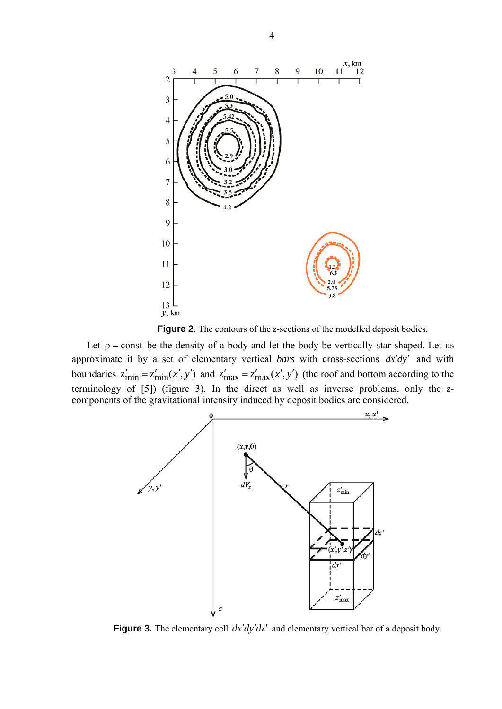

**Figure 2**. The contours of the *z*-sections of the modelled deposit bodies.

Let  $\rho$  = const be the density of a body and let the body be vertically star-shaped. Let us approximate it by a set of elementary vertical *bars* with cross-sections *dx*′*dy*′ and with boundaries  $z'_{\text{min}} = z'_{\text{min}}(x', y')$  and  $z'_{\text{max}} = z'_{\text{max}}(x', y')$  (the roof and bottom according to the terminology of [5]) (figure 3). In the direct as well as inverse problems, only the *z*components of the gravitational intensity induced by deposit bodies are considered.



**Figure 3.** The elementary cell *dx*′*dy*′*dz*′ and elementary vertical bar of a deposit body.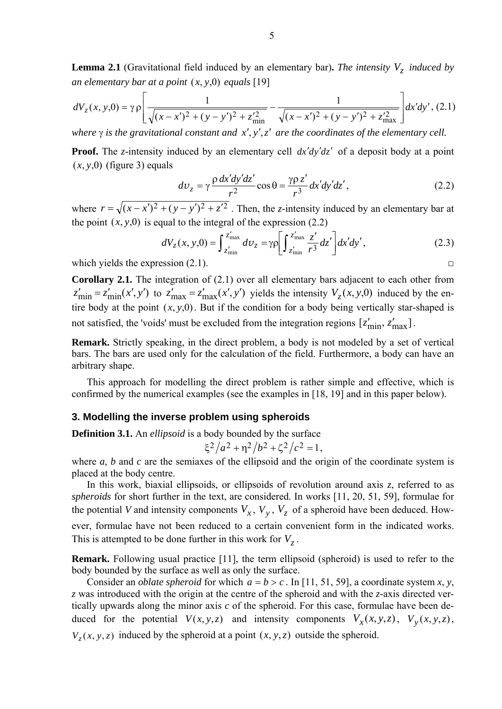**Lemma 2.1** (Gravitational field induced by an elementary bar). The intensity  $V<sub>z</sub>$  induced by *an elementary bar at a point*  $(x, y, 0)$  *equals* [19]

$$
dV_z(x, y, 0) = \gamma \rho \left[ \frac{1}{\sqrt{(x - x')^2 + (y - y')^2 + z'_{\text{min}}^2}} - \frac{1}{\sqrt{(x - x')^2 + (y - y')^2 + z'_{\text{max}}^2}} \right] dx'dy', (2.1)
$$

*where* γ *is the gravitational constant and x*′, *y*′,*z*′ *are the coordinates of the elementary cell.*

**Proof.** The *z*-intensity induced by an elementary cell  $dx'dy'dz'$  of a deposit body at a point  $(x, y, 0)$  (figure 3) equals

$$
dv_z = \gamma \frac{\rho \, dx'dy'dz'}{r^2} \cos \theta = \frac{\gamma \rho \, z'}{r^3} dx'dy'dz',\tag{2.2}
$$

where  $r = \sqrt{(x-x')^2 + (y-y')^2 + z'^2}$ . Then, the *z*-intensity induced by an elementary bar at the point  $(x, y, 0)$  is equal to the integral of the expression (2.2)

$$
dV_z(x, y, 0) = \int_{z'_{\text{min}}}^{z'_{\text{max}}} dv_z = \gamma \rho \left[ \int_{z'_{\text{min}}}^{z'_{\text{max}}} \frac{z'}{r^3} dz' \right] dx'dy', \qquad (2.3)
$$

which yields the expression  $(2.1)$ .

**Corollary 2.1.** The integration of (2.1) over all elementary bars adjacent to each other from  $z'_{\text{min}} = z'_{\text{min}}(x', y')$  to  $z'_{\text{max}} = z'_{\text{max}}(x', y')$  yields the intensity  $V_z(x, y, 0)$  induced by the entire body at the point  $(x, y, 0)$ . But if the condition for a body being vertically star-shaped is not satisfied, the 'voids' must be excluded from the integration regions  $[z'_{\text{min}}, z'_{\text{max}}]$ .

**Remark.** Strictly speaking, in the direct problem, a body is not modeled by a set of vertical bars. The bars are used only for the calculation of the field. Furthermore, a body can have an arbitrary shape.

This approach for modelling the direct problem is rather simple and effective, which is confirmed by the numerical examples (see the examples in [18, 19] and in this paper below).

#### **3. Modelling the inverse problem using spheroids**

**Definition 3.1.** An *ellipsoid* is a body bounded by the surface

$$
\xi^2/a^2 + \eta^2/b^2 + \zeta^2/c^2 = 1,
$$

where *a*, *b* and *c* are the semiaxes of the ellipsoid and the origin of the coordinate system is placed at the body centre.

In this work, biaxial ellipsoids, or ellipsoids of revolution around axis *z*, referred to as *spheroids* for short further in the text, are considered. In works [11, 20, 51, 59], formulae for the potential *V* and intensity components  $V_x$ ,  $V_y$ ,  $V_z$  of a spheroid have been deduced. However, formulae have not been reduced to a certain convenient form in the indicated works. This is attempted to be done further in this work for  $V<sub>z</sub>$ .

**Remark.** Following usual practice [11], the term ellipsoid (spheroid) is used to refer to the body bounded by the surface as well as only the surface.

Consider an *oblate spheroid* for which  $a = b > c$ . In [11, 51, 59], a coordinate system *x*, *y*, *z* was introduced with the origin at the centre of the spheroid and with the *z-*axis directed vertically upwards along the minor axis *c* of the spheroid. For this case, formulae have been deduced for the potential  $V(x, y, z)$  and intensity components  $V_x(x, y, z)$ ,  $V_y(x, y, z)$ ,  $V_z(x, y, z)$  induced by the spheroid at a point  $(x, y, z)$  outside the spheroid.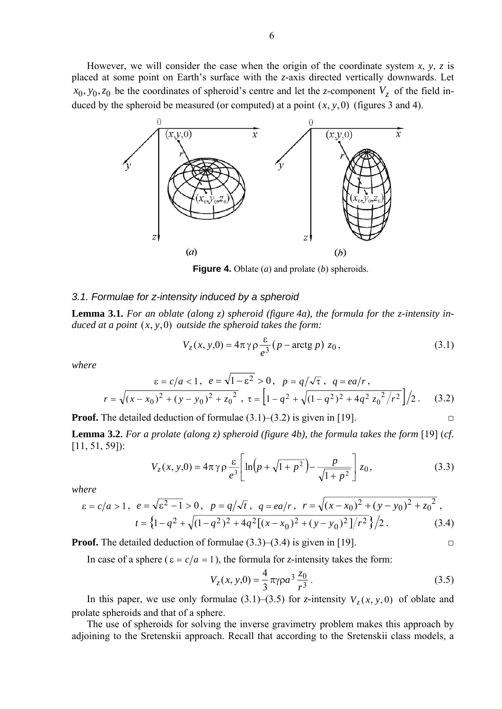However, we will consider the case when the origin of the coordinate system  $x$ ,  $y$ ,  $z$  is placed at some point on Earth's surface with the *z-*axis directed vertically downwards. Let  $x_0, y_0, z_0$  be the coordinates of spheroid's centre and let the *z*-component  $V_z$  of the field induced by the spheroid be measured (or computed) at a point  $(x, y, 0)$  (figures 3 and 4).



**Figure 4.** Oblate (*a*) and prolate (*b*) spheroids.

#### *3.1. Formulae for z-intensity induced by a spheroid*

**Lemma 3.1.** *For an oblate (along z) spheroid (figure 4a), the formula for the z-intensity induced at a point* (*x*, *y*,0) *outside the spheroid takes the form:*

$$
V_z(x, y, 0) = 4\pi \gamma \rho \frac{\varepsilon}{e^3} (p - \arctg p) z_0, \qquad (3.1)
$$

*where* 

$$
\varepsilon = c/a < 1, \quad e = \sqrt{1 - \varepsilon^2} > 0, \quad p = q/\sqrt{\tau}, \quad q = ea/r,
$$
  

$$
r = \sqrt{(x - x_0)^2 + (y - y_0)^2 + z_0^2}, \quad \tau = \left[1 - q^2 + \sqrt{(1 - q^2)^2 + 4q^2 z_0^2/r^2}\right]/2.
$$
 (3.2)

**Proof.** The detailed deduction of formulae  $(3.1)$ – $(3.2)$  is given in [19].

**Lemma 3.2.** *For a prolate (along z) spheroid (figure 4b), the formula takes the form* [19] (*cf.*  [11, 51, 59]):

$$
V_z(x, y, 0) = 4\pi \gamma \rho \frac{\varepsilon}{e^3} \left[ \ln \left( p + \sqrt{1 + p^2} \right) - \frac{p}{\sqrt{1 + p^2}} \right] z_0,
$$
 (3.3)

*where* 

$$
\varepsilon = c/a > 1, \quad e = \sqrt{\varepsilon^2 - 1} > 0, \quad p = q/\sqrt{t}, \quad q = ea/r, \quad r = \sqrt{(x - x_0)^2 + (y - y_0)^2 + z_0^2},
$$
\n
$$
t = \left\{1 - q^2 + \sqrt{(1 - q^2)^2 + 4q^2[(x - x_0)^2 + (y - y_0)^2]/r^2}\right\}/2. \tag{3.4}
$$

**Proof.** The detailed deduction of formulae  $(3.3)$ – $(3.4)$  is given in [19].

In case of a sphere ( $\varepsilon = c/a = 1$ ), the formula for *z*-intensity takes the form:

$$
V_z(x, y, 0) = \frac{4}{3} \pi \gamma \rho a^3 \frac{z_0}{r^3}.
$$
 (3.5)

In this paper, we use only formulae (3.1)–(3.5) for *z*-intensity  $V_z(x, y, 0)$  of oblate and prolate spheroids and that of a sphere.

The use of spheroids for solving the inverse gravimetry problem makes this approach by adjoining to the Sretenskii approach. Recall that according to the Sretenskii class models, a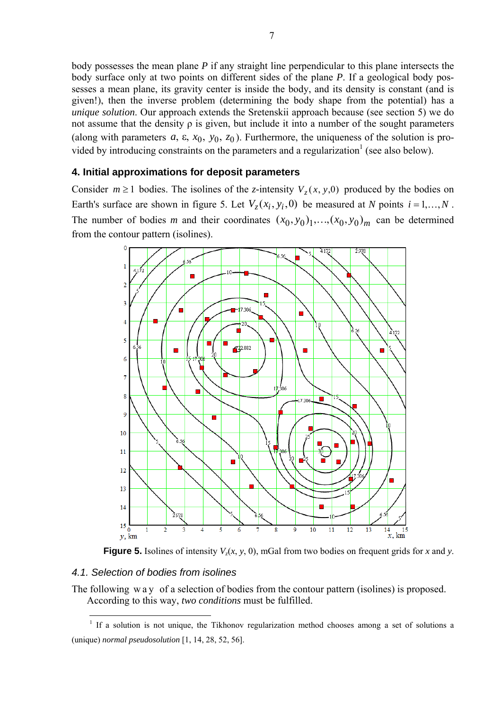body possesses the mean plane *P* if any straight line perpendicular to this plane intersects the body surface only at two points on different sides of the plane *P*. If a geological body possesses a mean plane, its gravity center is inside the body, and its density is constant (and is given!), then the inverse problem (determining the body shape from the potential) has a *unique solution*. Our approach extends the Sretenskii approach because (see section 5) we do not assume that the density ρ is given, but include it into a number of the sought parameters (along with parameters  $a$ ,  $\varepsilon$ ,  $x_0$ ,  $y_0$ ,  $z_0$ ). Furthermore, the uniqueness of the solution is provided by introducing constraints on the parameters and a regularization<sup>1</sup> (see also below).

# **4. Initial approximations for deposit parameters**

Consider  $m \ge 1$  bodies. The isolines of the *z*-intensity  $V_z(x, y, 0)$  produced by the bodies on Earth's surface are shown in figure 5. Let  $V_z(x_i, y_i, 0)$  be measured at *N* points  $i = 1,...,N$ . The number of bodies *m* and their coordinates  $(x_0, y_0)_1, \ldots, (x_0, y_0)_m$  can be determined from the contour pattern (isolines).



**Figure 5.** Isolines of intensity  $V_z(x, y, 0)$ , mGal from two bodies on frequent grids for *x* and *y*.

# *4.1. Selection of bodies from isolines*

The following way of a selection of bodies from the contour pattern (isolines) is proposed. According to this way, *two conditions* must be fulfilled.

<sup>&</sup>lt;sup>1</sup> If a solution is not unique, the Tikhonov regularization method chooses among a set of solutions a (unique) *normal pseudosolution* [1, 14, 28, 52, 56].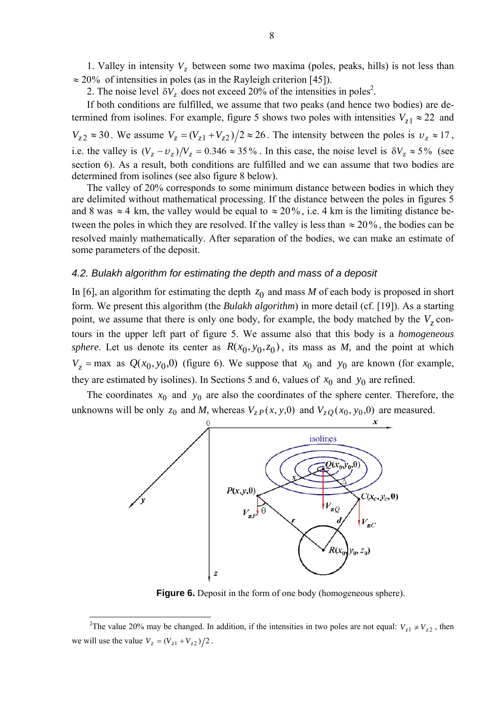1. Valley in intensity  $V_z$  between some two maxima (poles, peaks, hills) is not less than  $\approx$  20% of intensities in poles (as in the Rayleigh criterion [45]).

2. The noise level  $\delta V_z$  does not exceed 20% of the intensities in poles<sup>2</sup>.

If both conditions are fulfilled, we assume that two peaks (and hence two bodies) are determined from isolines. For example, figure 5 shows two poles with intensities  $V_{z1} \approx 22$  and  $V_{z2} \approx 30$ . We assume  $V_{z} = (V_{z1} + V_{z2})/2 \approx 26$ . The intensity between the poles is  $v_{z} \approx 17$ , i.e. the valley is  $(V_z - v_z)/V_z = 0.346 \approx 35\%$ . In this case, the noise level is  $\delta V_z \approx 5\%$  (see section 6). As a result, both conditions are fulfilled and we can assume that two bodies are determined from isolines (see also figure 8 below).

The valley of 20% corresponds to some minimum distance between bodies in which they are delimited without mathematical processing. If the distance between the poles in figures 5 and 8 was  $\approx$  4 km, the valley would be equal to  $\approx$  20%, i.e. 4 km is the limiting distance between the poles in which they are resolved. If the valley is less than  $\approx 20\%$ , the bodies can be resolved mainly mathematically. After separation of the bodies, we can make an estimate of some parameters of the deposit.

# *4.2. Bulakh algorithm for estimating the depth and mass of a deposit*

In [6], an algorithm for estimating the depth  $z_0$  and mass *M* of each body is proposed in short form. We present this algorithm (the *Bulakh algorithm*) in more detail (cf. [19]). As a starting point, we assume that there is only one body, for example, the body matched by the  $V<sub>z</sub>$  contours in the upper left part of figure 5. We assume also that this body is a *homogeneous sphere*. Let us denote its center as  $R(x_0, y_0, z_0)$ , its mass as *M*, and the point at which  $V_z$  = max as  $Q(x_0, y_0, 0)$  (figure 6). We suppose that  $x_0$  and  $y_0$  are known (for example, they are estimated by isolines). In Sections 5 and 6, values of  $x_0$  and  $y_0$  are refined.

The coordinates  $x_0$  and  $y_0$  are also the coordinates of the sphere center. Therefore, the unknowns will be only  $z_0$  and *M*, whereas  $V_{zP}(x, y, 0)$  and  $V_{zQ}(x_0, y_0, 0)$  are measured.



**Figure 6.** Deposit in the form of one body (homogeneous sphere).

 $\overline{a}$ 

<sup>&</sup>lt;sup>2</sup>The value 20% may be changed. In addition, if the intensities in two poles are not equal:  $V_{z1} \neq V_{z2}$ , then we will use the value  $V_z = (V_{z1} + V_{z2})/2$ .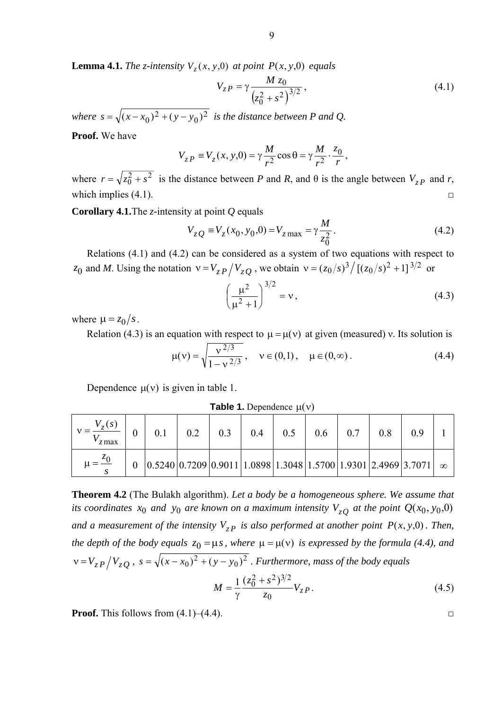**Lemma 4.1.** *The z-intensity*  $V_z(x, y, 0)$  *at point*  $P(x, y, 0)$  *equals* 

$$
V_{zP} = \gamma \frac{M z_0}{\left(z_0^2 + s^2\right)^{3/2}},\tag{4.1}
$$

*where*  $s = \sqrt{(x - x_0)^2 + (y - y_0)^2}$  *is the distance between P and Q.* 

**Proof.** We have

$$
V_{zP} \equiv V_z(x, y, 0) = \gamma \frac{M}{r^2} \cos \theta = \gamma \frac{M}{r^2} \cdot \frac{z_0}{r},
$$

where  $r = \sqrt{z_0^2 + s^2}$  is the distance between *P* and *R*, and  $\theta$  is the angle between  $V_{zP}$  and *r*, which implies  $(4.1)$ .

**Corollary 4.1.**The *z-*intensity at point *Q* equals

$$
V_{zQ} \equiv V_{z}(x_0, y_0, 0) = V_{z \max} = \gamma \frac{M}{z_0^2}.
$$
 (4.2)

Relations (4.1) and (4.2) can be considered as a system of two equations with respect to z<sub>0</sub> and *M*. Using the notation  $v = V_{zP}/V_{zQ}$ , we obtain  $v = (z_0/s)^3/[(z_0/s)^2 + 1]^{3/2}$  or

$$
\left(\frac{\mu^2}{\mu^2 + 1}\right)^{3/2} = v,\tag{4.3}
$$

where  $\mu = z_0 / s$ .

Relation (4.3) is an equation with respect to  $\mu = \mu(v)$  at given (measured) v. Its solution is

$$
\mu(v) = \sqrt{\frac{v^{2/3}}{1 - v^{2/3}}}, \quad v \in (0, 1), \quad \mu \in (0, \infty).
$$
 (4.4)

Dependence  $\mu(v)$  is given in table 1.

**Table 1.** Dependence  $\mu(v)$ 

| $z$ max                 |                                                                                                                                     | 0.2 | 0.3 | 0.4 | 0.5 | 0.6 | 0.7 | 0.8 |  |
|-------------------------|-------------------------------------------------------------------------------------------------------------------------------------|-----|-----|-----|-----|-----|-----|-----|--|
| $\mu = \frac{z_0}{z_0}$ | $\vert 0.5240 \vert 0.7209 \vert 0.9011 \vert 1.0898 \vert 1.3048 \vert 1.5700 \vert 1.9301 \vert 2.4969 \vert 3.7071 \vert \infty$ |     |     |     |     |     |     |     |  |

**Theorem 4.2** (The Bulakh algorithm). *Let a body be a homogeneous sphere. We assume that its coordinates*  $x_0$  *and*  $y_0$  *are known on a maximum intensity*  $V_{zQ}$  *at the point*  $Q(x_0, y_0, 0)$ *and a measurement of the intensity*  $V_{zP}$  *is also performed at another point*  $P(x, y, 0)$ *. Then, the depth of the body equals*  $z_0 = \mu s$ , where  $\mu = \mu(v)$  *is expressed by the formula (4.4), and*  $v = V_{zP}/V_{zQ}$ ,  $s = \sqrt{(x - x_0)^2 + (y - y_0)^2}$ . Furthermore, mass of the body equals

$$
M = \frac{1}{\gamma} \frac{(z_0^2 + s^2)^{3/2}}{z_0} V_{zP}.
$$
 (4.5)

**Proof.** This follows from  $(4.1)$ – $(4.4)$ .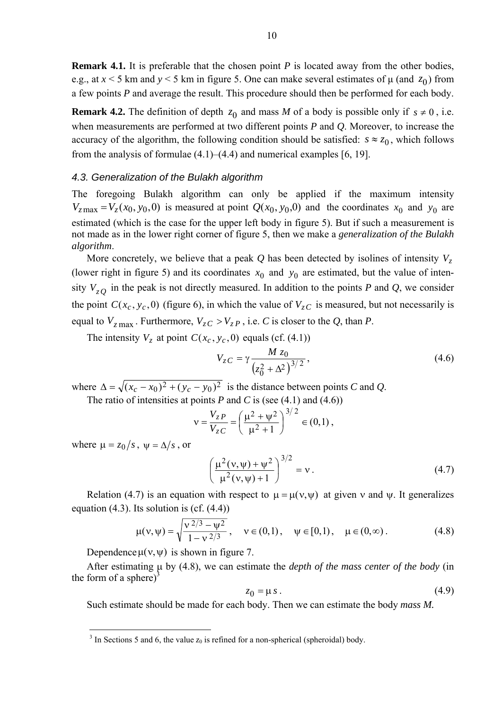**Remark 4.1.** It is preferable that the chosen point *P* is located away from the other bodies, e.g., at  $x < 5$  km and  $y < 5$  km in figure 5. One can make several estimates of  $\mu$  (and  $z_0$ ) from a few points *P* and average the result. This procedure should then be performed for each body.

**Remark 4.2.** The definition of depth  $z_0$  and mass *M* of a body is possible only if  $s \neq 0$ , i.e. when measurements are performed at two different points *P* and *Q*. Moreover, to increase the accuracy of the algorithm, the following condition should be satisfied:  $s \approx z_0$ , which follows from the analysis of formulae  $(4.1)$ – $(4.4)$  and numerical examples [6, 19].

#### *4.3. Generalization of the Bulakh algorithm*

The foregoing Bulakh algorithm can only be applied if the maximum intensity  $V_{\text{zmax}} = V_{\text{z}}(x_0, y_0, 0)$  is measured at point  $Q(x_0, y_0, 0)$  and the coordinates  $x_0$  and  $y_0$  are estimated (which is the case for the upper left body in figure 5). But if such a measurement is not made as in the lower right corner of figure 5, then we make a *generalization of the Bulakh algorithm*.

More concretely, we believe that a peak  $Q$  has been detected by isolines of intensity  $V<sub>z</sub>$ (lower right in figure 5) and its coordinates  $x_0$  and  $y_0$  are estimated, but the value of intensity  $V_{zQ}$  in the peak is not directly measured. In addition to the points *P* and *Q*, we consider the point  $C(x_c, y_c, 0)$  (figure 6), in which the value of  $V_{zC}$  is measured, but not necessarily is equal to  $V_{z\text{ max}}$ . Furthermore,  $V_{zC} > V_{zP}$ , i.e. *C* is closer to the *Q*, than *P*.

The intensity  $V_z$  at point  $C(x_c, y_c, 0)$  equals (cf. (4.1))

$$
V_{zC} = \gamma \frac{M z_0}{(z_0^2 + \Delta^2)^{3/2}},
$$
\n(4.6)

where  $\Delta = \sqrt{(x_c - x_0)^2 + (y_c - y_0)^2}$  is the distance between points *C* and *Q*. The ratio of intensities at points *P* and *C* is (see (4.1) and (4.6))

$$
v = \frac{V_{zP}}{V_{zC}} = \left(\frac{\mu^2 + \psi^2}{\mu^2 + 1}\right)^{3/2} \in (0,1),
$$

where  $\mu = z_0 / s$ ,  $\psi = \Delta / s$ , or

 $\overline{a}$ 

$$
\left(\frac{\mu^2(v,\psi)+\psi^2}{\mu^2(v,\psi)+1}\right)^{3/2}=v.
$$
\n(4.7)

Relation (4.7) is an equation with respect to  $\mu = \mu(v, \psi)$  at given v and  $\psi$ . It generalizes equation  $(4.3)$ . Its solution is  $(cf. (4.4))$ 

$$
\mu(v,\psi) = \sqrt{\frac{v^{2/3} - \psi^2}{1 - v^{2/3}}}, \quad v \in (0,1), \quad \psi \in [0,1), \quad \mu \in (0,\infty).
$$
 (4.8)

Dependence  $\mu(v, \psi)$  is shown in figure 7.

After estimating μ by (4.8), we can estimate the *depth of the mass center of the body* (in the form of a sphere)<sup>3</sup>

$$
z_0 = \mu s. \tag{4.9}
$$

Such estimate should be made for each body. Then we can estimate the body *mass M.*

<sup>&</sup>lt;sup>3</sup> In Sections 5 and 6, the value  $z_0$  is refined for a non-spherical (spheroidal) body.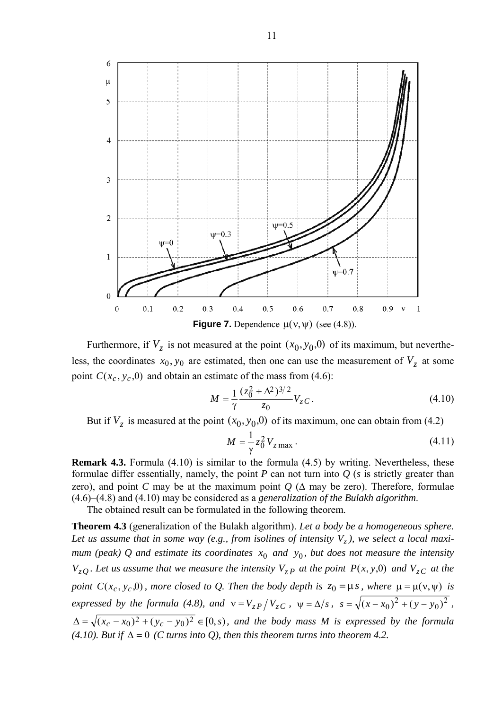

Furthermore, if  $V_z$  is not measured at the point  $(x_0, y_0, 0)$  of its maximum, but nevertheless, the coordinates  $x_0$ ,  $y_0$  are estimated, then one can use the measurement of  $V_z$  at some point  $C(x_c, y_c, 0)$  and obtain an estimate of the mass from (4.6):

$$
M = \frac{1}{\gamma} \frac{(z_0^2 + \Delta^2)^{3/2}}{z_0} V_{zC}.
$$
 (4.10)

But if  $V_z$  is measured at the point  $(x_0, y_0, 0)$  of its maximum, one can obtain from (4.2)

$$
M = \frac{1}{\gamma} z_0^2 V_{z \max} \,. \tag{4.11}
$$

**Remark 4.3.** Formula (4.10) is similar to the formula (4.5) by writing. Nevertheless, these formulae differ essentially, namely, the point *P* can not turn into *Q* (*s* is strictly greater than zero), and point *C* may be at the maximum point  $Q$  ( $\Delta$  may be zero). Therefore, formulae (4.6)–(4.8) and (4.10) may be considered as a *generalization of the Bulakh algorithm*.

The obtained result can be formulated in the following theorem.

**Theorem 4.3** (generalization of the Bulakh algorithm). *Let a body be a homogeneous sphere.*  Let us assume that in some way (e.g., from isolines of intensity  $V_z$ ), we select a local maxi*mum (peak) Q and estimate its coordinates*  $x_0$  *and*  $y_0$ *, but does not measure the intensity*  $V_{zO}$ . Let us assume that we measure the intensity  $V_{zP}$  at the point  $P(x, y, 0)$  and  $V_{zC}$  at the *point*  $C(x_c, y_c, 0)$ *, more closed to Q. Then the body depth is*  $z_0 = \mu s$ *, where*  $\mu = \mu(v, \psi)$  *is expressed by the formula (4.8), and*  $v = V_{zP}/V_{zC}$ ,  $\psi = \Delta/s$ ,  $s = \sqrt{(x - x_0)^2 + (y - y_0)^2}$ ,  $\Delta = \sqrt{(x_c - x_0)^2 + (y_c - y_0)^2} \in [0, s)$ , and the body mass M is expressed by the formula (4.10). But if  $\Delta = 0$  (*C* turns into *Q*), then this theorem turns into theorem 4.2.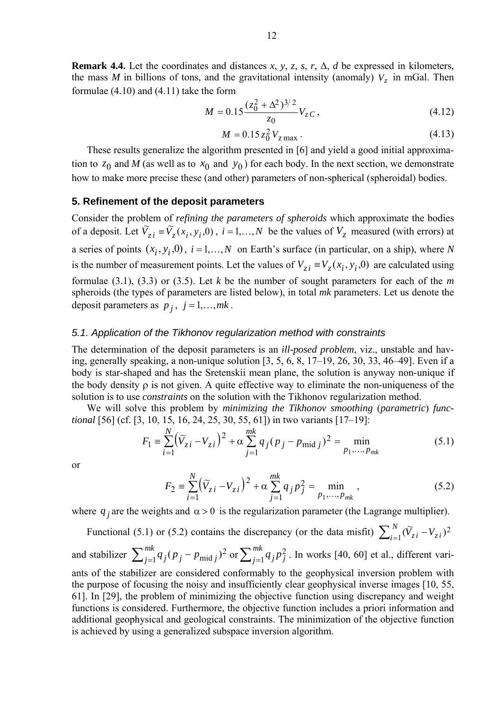**Remark 4.4.** Let the coordinates and distances  $x$ ,  $y$ ,  $z$ ,  $s$ ,  $r$ ,  $\Delta$ ,  $d$  be expressed in kilometers, the mass *M* in billions of tons, and the gravitational intensity (anomaly)  $V<sub>z</sub>$  in mGal. Then formulae (4.10) and (4.11) take the form

$$
M = 0.15 \frac{(z_0^2 + \Delta^2)^{3/2}}{z_0} V_{zC},
$$
\n(4.12)

$$
M = 0.15 z_0^2 V_{z\,\text{max}}\,. \tag{4.13}
$$

These results generalize the algorithm presented in [6] and yield a good initial approximation to  $z_0$  and *M* (as well as to  $x_0$  and  $y_0$ ) for each body. In the next section, we demonstrate how to make more precise these (and other) parameters of non-spherical (spheroidal) bodies.

#### **5. Refinement of the deposit parameters**

Consider the problem of *refining the parameters of spheroids* which approximate the bodies of a deposit. Let  $\tilde{V}_{z_i} = \tilde{V}_z(x_i, y_i, 0)$ ,  $i = 1,...,N$  be the values of  $V_z$  measured (with errors) at a series of points  $(x_i, y_i, 0)$ ,  $i = 1,...,N$  on Earth's surface (in particular, on a ship), where *N* is the number of measurement points. Let the values of  $V_{zi} \equiv V_z(x_i, y_i, 0)$  are calculated using formulae (3.1), (3.3) or (3.5). Let *k* be the number of sought parameters for each of the *m*  spheroids (the types of parameters are listed below), in total *mk* parameters. Let us denote the deposit parameters as  $p_j$ ,  $j = 1,...,mk$ .

#### *5.1. Application of the Tikhonov regularization method with constraints*

The determination of the deposit parameters is an *ill-posed problem*, viz., unstable and having, generally speaking, a non-unique solution [3, 5, 6, 8, 17–19, 26, 30, 33, 46–49]. Even if a body is star-shaped and has the Sretenskii mean plane, the solution is anyway non-unique if the body density  $\rho$  is not given. A quite effective way to eliminate the non-uniqueness of the solution is to use *constraints* on the solution with the Tikhonov regularization method.

We will solve this problem by *minimizing the Tikhonov smoothing* (*parametric*) *functional* [56] (cf. [3, 10, 15, 16, 24, 25, 30, 55, 61]) in two variants [17–19]:

$$
F_1 = \sum_{i=1}^{N} (\widetilde{V}_{zi} - V_{zi})^2 + \alpha \sum_{j=1}^{mk} q_j (p_j - p_{\text{mid }j})^2 = \min_{p_1, ..., p_{mk}}
$$
(5.1)

or

$$
F_2 = \sum_{i=1}^{N} (\widetilde{V}_{zi} - V_{zi})^2 + \alpha \sum_{j=1}^{mk} q_j p_j^2 = \min_{p_1, ..., p_{mk}},
$$
 (5.2)

where  $q_i$  are the weights and  $\alpha > 0$  is the regularization parameter (the Lagrange multiplier).

Functional (5.1) or (5.2) contains the discrepancy (or the data misfit)  $\sum_{i=1}^{N} (\widetilde{V}_{zi} - V_{zi})^2$ and stabilizer  $\sum_{j=1}^{mk} q_j (p_j - p_{midj})^2$  or  $\sum_{j=1}^{mk} q_j p_j^2$ . In works [40, 60] et al., different variants of the stabilizer are considered conformably to the geophysical inversion problem with the purpose of focusing the noisy and insufficiently clear geophysical inverse images [10, 55, 61]. In [29], the problem of minimizing the objective function using discrepancy and weight functions is considered. Furthermore, the objective function includes a priori information and additional geophysical and geological constraints. The minimization of the objective function is achieved by using a generalized subspace inversion algorithm.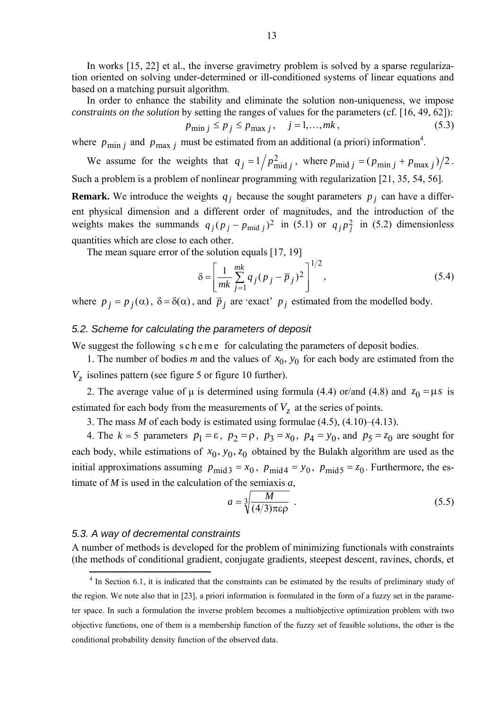In works [15, 22] et al., the inverse gravimetry problem is solved by a sparse regularization oriented on solving under-determined or ill-conditioned systems of linear equations and based on a matching pursuit algorithm.

In order to enhance the stability and eliminate the solution non-uniqueness, we impose *constraints on the solution* by setting the ranges of values for the parameters (cf. [16, 49, 62]):

$$
p_{\min j} \le p_j \le p_{\max j}, \quad j = 1, ..., mk,
$$
\n(5.3)

where  $p_{\min j}$  and  $p_{\max j}$  must be estimated from an additional (a priori) information<sup>4</sup>.

We assume for the weights that  $q_j = 1/p_{\text{mid }j}^2$ , where  $p_{\text{mid }j} = (p_{\text{min }j} + p_{\text{max }j})/2$ . Such a problem is a problem of nonlinear programming with regularization [21, 35, 54, 56].

**Remark.** We introduce the weights  $q_i$  because the sought parameters  $p_i$  can have a different physical dimension and a different order of magnitudes, and the introduction of the weights makes the summands  $q_j (p_j - p_{mid j})^2$  in (5.1) or  $q_j p_j^2$  in (5.2) dimensionless quantities which are close to each other.

The mean square error of the solution equals [17, 19]

$$
\delta = \left[ \frac{1}{mk} \sum_{j=1}^{mk} q_j (p_j - \overline{p}_j)^2 \right]^{1/2},\tag{5.4}
$$

where  $p_j = p_j(\alpha)$ ,  $\delta = \delta(\alpha)$ , and  $\bar{p}_j$  are 'exact'  $p_j$  estimated from the modelled body.

## *5.2. Scheme for calculating the parameters of deposit*

We suggest the following s c h e m e for calculating the parameters of deposit bodies.

1. The number of bodies *m* and the values of  $x_0$ ,  $y_0$  for each body are estimated from the  $V<sub>z</sub>$  isolines pattern (see figure 5 or figure 10 further).

2. The average value of  $\mu$  is determined using formula (4.4) or/and (4.8) and  $z_0 = \mu s$  is estimated for each body from the measurements of  $V<sub>z</sub>$  at the series of points.

3. The mass *M* of each body is estimated using formulae (4.5), (4.10)–(4.13).

4. The  $k = 5$  parameters  $p_1 = \varepsilon$ ,  $p_2 = \rho$ ,  $p_3 = x_0$ ,  $p_4 = y_0$ , and  $p_5 = z_0$  are sought for each body, while estimations of  $x_0$ ,  $y_0$ ,  $z_0$  obtained by the Bulakh algorithm are used as the initial approximations assuming  $p_{mid 3} = x_0$ ,  $p_{mid 4} = y_0$ ,  $p_{mid 5} = z_0$ . Furthermore, the estimate of *M* is used in the calculation of the semiaxis *a*,

$$
a = \sqrt[3]{\frac{M}{(4/3)\pi\epsilon\rho}} \tag{5.5}
$$

## *5.3. A way of decremental constraints*

A number of methods is developed for the problem of minimizing functionals with constraints (the methods of conditional gradient, conjugate gradients, steepest descent, ravines, chords, et

<sup>&</sup>lt;sup>4</sup> In Section 6.1, it is indicated that the constraints can be estimated by the results of preliminary study of the region. We note also that in [23], a priori information is formulated in the form of a fuzzy set in the parameter space. In such a formulation the inverse problem becomes a multiobjective optimization problem with two objective functions, one of them is a membership function of the fuzzy set of feasible solutions, the other is the conditional probability density function of the observed data.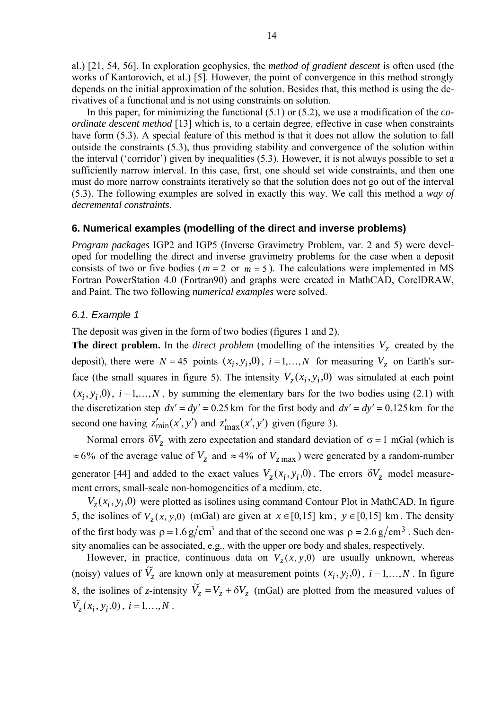al.) [21, 54, 56]. In exploration geophysics, the *method of gradient descent* is often used (the works of Kantorovich, et al.) [5]. However, the point of convergence in this method strongly depends on the initial approximation of the solution. Besides that, this method is using the derivatives of a functional and is not using constraints on solution.

In this paper, for minimizing the functional (5.1) or (5.2), we use a modification of the *coordinate descent method* [13] which is, to a certain degree, effective in case when constraints have form  $(5.3)$ . A special feature of this method is that it does not allow the solution to fall outside the constraints (5.3), thus providing stability and convergence of the solution within the interval ('corridor') given by inequalities (5.3). However, it is not always possible to set a sufficiently narrow interval. In this case, first, one should set wide constraints, and then one must do more narrow constraints iteratively so that the solution does not go out of the interval (5.3). The following examples are solved in exactly this way. We call this method a *way of decremental constraints*.

## **6. Numerical examples (modelling of the direct and inverse problems)**

*Program packages* IGP2 and IGP5 (Inverse Gravimetry Problem, var. 2 and 5) were developed for modelling the direct and inverse gravimetry problems for the case when a deposit consists of two or five bodies ( $m = 2$  or  $m = 5$ ). The calculations were implemented in MS Fortran PowerStation 4.0 (Fortran90) and graphs were created in MathCAD, CorelDRAW, and Paint. The two following *numerical examples* were solved.

## *6.1. Example 1*

The deposit was given in the form of two bodies (figures 1 and 2).

**The direct problem.** In the *direct problem* (modelling of the intensities  $V<sub>z</sub>$  created by the deposit), there were  $N = 45$  points  $(x_i, y_i, 0)$ ,  $i = 1,...,N$  for measuring  $V_z$  on Earth's surface (the small squares in figure 5). The intensity  $V_z(x_i, y_i, 0)$  was simulated at each point  $(x_i, y_i, 0)$ ,  $i = 1,...,N$ , by summing the elementary bars for the two bodies using (2.1) with the discretization step  $dx' = dy' = 0.25$  km for the first body and  $dx' = dy' = 0.125$  km for the second one having  $z'_{\text{min}}(x', y')$  and  $z'_{\text{max}}(x', y')$  given (figure 3).

Normal errors  $\delta V_z$  with zero expectation and standard deviation of  $\sigma = 1$  mGal (which is  $\approx 6\%$  of the average value of  $V_z$  and  $\approx 4\%$  of  $V_{zmax}$ ) were generated by a random-number generator [44] and added to the exact values  $V_z(x_i, y_i, 0)$ . The errors  $\delta V_z$  model measurement errors, small-scale non-homogeneities of a medium, etc.

 $V_z(x_i, y_i, 0)$  were plotted as isolines using command Contour Plot in MathCAD. In figure 5, the isolines of  $V_z(x, y, 0)$  (mGal) are given at  $x \in [0, 15]$  km,  $y \in [0, 15]$  km. The density of the first body was  $\rho = 1.6 \frac{g}{cm^3}$  and that of the second one was  $\rho = 2.6 \frac{g}{cm^3}$ . Such density anomalies can be associated, e.g., with the upper ore body and shales, respectively.

However, in practice, continuous data on  $V_z(x, y, 0)$  are usually unknown, whereas (noisy) values of  $\widetilde{V}_z$  are known only at measurement points  $(x_i, y_i, 0)$ ,  $i = 1,...,N$ . In figure 8, the isolines of *z*-intensity  $\tilde{V}_z = V_z + \delta V_z$  (mGal) are plotted from the measured values of  $\widetilde{V}_z(x_i, y_i, 0), i = 1,...,N$ .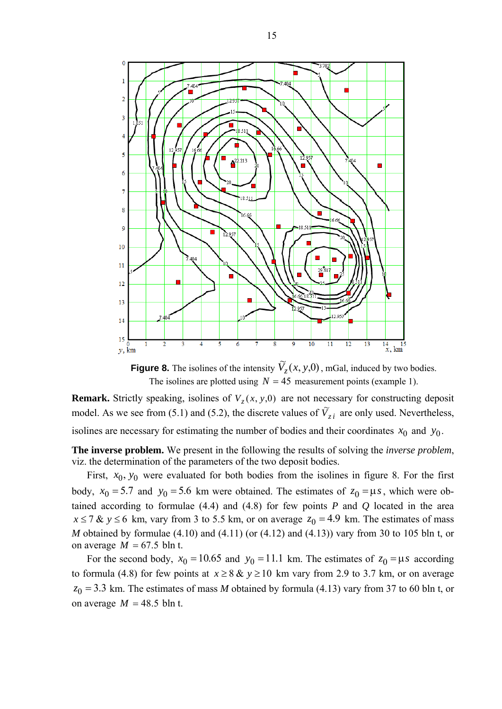

**Figure 8.** The isolines of the intensity  $\widetilde{V}_z(x, y, 0)$ , mGal, induced by two bodies. The isolines are plotted using  $N = 45$  measurement points (example 1).

**Remark.** Strictly speaking, isolines of  $V_z(x, y, 0)$  are not necessary for constructing deposit model. As we see from (5.1) and (5.2), the discrete values of  $\tilde{V}_{z}$  are only used. Nevertheless, isolines are necessary for estimating the number of bodies and their coordinates  $x_0$  and  $y_0$ .

**The inverse problem.** We present in the following the results of solving the *inverse problem*, viz. the determination of the parameters of the two deposit bodies.

First,  $x_0$ ,  $y_0$  were evaluated for both bodies from the isolines in figure 8. For the first body,  $x_0 = 5.7$  and  $y_0 = 5.6$  km were obtained. The estimates of  $z_0 = \mu s$ , which were obtained according to formulae  $(4.4)$  and  $(4.8)$  for few points *P* and *Q* located in the area  $x \le 7$  &  $y \le 6$  km, vary from 3 to 5.5 km, or on average  $z_0 = 4.9$  km. The estimates of mass *M* obtained by formulae (4.10) and (4.11) (or (4.12) and (4.13)) vary from 30 to 105 bln t, or on average  $M = 67.5$  bln t.

For the second body,  $x_0 = 10.65$  and  $y_0 = 11.1$  km. The estimates of  $z_0 = \mu s$  according to formula (4.8) for few points at  $x \ge 8$  &  $y \ge 10$  km vary from 2.9 to 3.7 km, or on average  $z_0$  = 3.3 km. The estimates of mass *M* obtained by formula (4.13) vary from 37 to 60 bln t, or on average  $M = 48.5$  bln t.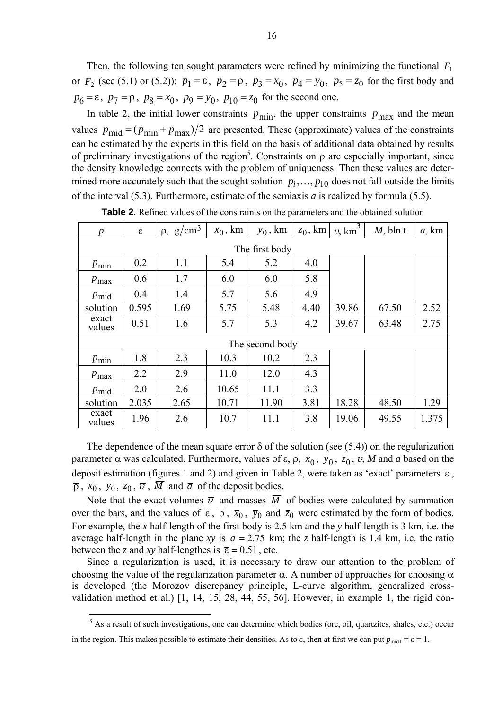Then, the following ten sought parameters were refined by minimizing the functional  $F_1$ or  $F_2$  (see (5.1) or (5.2)):  $p_1 = \varepsilon$ ,  $p_2 = \rho$ ,  $p_3 = x_0$ ,  $p_4 = y_0$ ,  $p_5 = z_0$  for the first body and  $p_6 = \varepsilon$ ,  $p_7 = \rho$ ,  $p_8 = x_0$ ,  $p_9 = y_0$ ,  $p_{10} = z_0$  for the second one.

In table 2, the initial lower constraints  $p_{\text{min}}$ , the upper constraints  $p_{\text{max}}$  and the mean values  $p_{\text{mid}} = (p_{\text{min}} + p_{\text{max}})/2$  are presented. These (approximate) values of the constraints can be estimated by the experts in this field on the basis of additional data obtained by results of preliminary investigations of the region<sup>5</sup>. Constraints on  $\rho$  are especially important, since the density knowledge connects with the problem of uniqueness. Then these values are determined more accurately such that the sought solution  $p_i, \ldots, p_{10}$  does not fall outside the limits of the interval (5.3). Furthermore, estimate of the semiaxis *a* is realized by formula (5.5).

| $\boldsymbol{p}$ | $\epsilon$ | $\rho$ , g/cm <sup>3</sup> | $x_0$ , km | $y_0$ , km | $z_0$ , km | $v,$ km <sup>3</sup> | $M$ , bln t | $a,$ km |  |  |  |
|------------------|------------|----------------------------|------------|------------|------------|----------------------|-------------|---------|--|--|--|
| The first body   |            |                            |            |            |            |                      |             |         |  |  |  |
| $p_{\min}$       | 0.2        | 1.1                        | 5.4        | 5.2        | 4.0        |                      |             |         |  |  |  |
| $p_{\text{max}}$ | 0.6        | 1.7                        | 6.0        | 6.0        | 5.8        |                      |             |         |  |  |  |
| $p_{mid}$        | 0.4        | 1.4                        | 5.7        | 5.6        | 4.9        |                      |             |         |  |  |  |
| solution         | 0.595      | 1.69                       | 5.75       | 5.48       | 4.40       | 39.86                | 67.50       | 2.52    |  |  |  |
| exact<br>values  | 0.51       | 1.6                        | 5.7        | 5.3        | 4.2        | 39.67                | 63.48       | 2.75    |  |  |  |
| The second body  |            |                            |            |            |            |                      |             |         |  |  |  |
| $p_{\min}$       | 1.8        | 2.3                        | 10.3       | 10.2       | 2.3        |                      |             |         |  |  |  |
| $p_{\text{max}}$ | 2.2        | 2.9                        | 11.0       | 12.0       | 4.3        |                      |             |         |  |  |  |
| $p_{mid}$        | 2.0        | 2.6                        | 10.65      | 11.1       | 3.3        |                      |             |         |  |  |  |
| solution         | 2.035      | 2.65                       | 10.71      | 11.90      | 3.81       | 18.28                | 48.50       | 1.29    |  |  |  |
| exact<br>values  | 1.96       | 2.6                        | 10.7       | 11.1       | 3.8        | 19.06                | 49.55       | 1.375   |  |  |  |

**Table 2.** Refined values of the constraints on the parameters and the obtained solution

The dependence of the mean square error  $\delta$  of the solution (see (5.4)) on the regularization parameter α was calculated. Furthermore, values of ε, ρ,  $x_0$ ,  $y_0$ ,  $z_0$ , *v*, *M* and *a* based on the deposit estimation (figures 1 and 2) and given in Table 2, were taken as 'exact' parameters  $\bar{\epsilon}$ ,  $\overline{\rho}$ ,  $\overline{x}_0$ ,  $\overline{y}_0$ ,  $\overline{z}_0$ ,  $\overline{\nu}$ ,  $\overline{M}$  and  $\overline{a}$  of the deposit bodies.

Note that the exact volumes  $\overline{v}$  and masses  $\overline{M}$  of bodies were calculated by summation over the bars, and the values of  $\bar{\epsilon}$ ,  $\bar{\rho}$ ,  $\bar{x}_0$ ,  $\bar{y}_0$  and  $\bar{z}_0$  were estimated by the form of bodies. For example, the *x* half-length of the first body is 2.5 km and the *y* half-length is 3 km, i.e. the average half-length in the plane *xy* is  $\bar{a} = 2.75$  km; the *z* half-length is 1.4 km, i.e. the ratio between the *z* and *xy* half-lengthes is  $\bar{\varepsilon} = 0.51$ , etc.

Since a regularization is used, it is necessary to draw our attention to the problem of choosing the value of the regularization parameter  $\alpha$ . A number of approaches for choosing  $\alpha$ is developed (the Morozov discrepancy principle, L-curve algorithm, generalized crossvalidation method et al.) [1, 14, 15, 28, 44, 55, 56]. However, in example 1, the rigid con-

<sup>&</sup>lt;sup>5</sup> As a result of such investigations, one can determine which bodies (ore, oil, quartzites, shales, etc.) occur in the region. This makes possible to estimate their densities. As to  $\varepsilon$ , then at first we can put  $p_{\text{mid}} = \varepsilon = 1$ .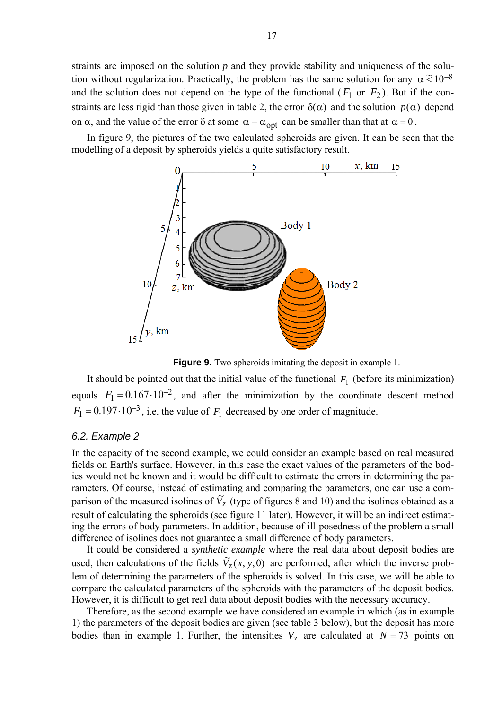straints are imposed on the solution *p* and they provide stability and uniqueness of the solution without regularization. Practically, the problem has the same solution for any  $\alpha \approx 10^{-8}$ and the solution does not depend on the type of the functional  $(F_1 \text{ or } F_2)$ . But if the constraints are less rigid than those given in table 2, the error  $\delta(\alpha)$  and the solution  $p(\alpha)$  depend on  $\alpha$ , and the value of the error  $\delta$  at some  $\alpha = \alpha_{\text{opt}}$  can be smaller than that at  $\alpha = 0$ .

In figure 9, the pictures of the two calculated spheroids are given. It can be seen that the modelling of a deposit by spheroids yields a quite satisfactory result.



**Figure 9**. Two spheroids imitating the deposit in example 1.

It should be pointed out that the initial value of the functional  $F_1$  (before its minimization) equals  $F_1 = 0.167 \cdot 10^{-2}$ , and after the minimization by the coordinate descent method  $F_1 = 0.197 \cdot 10^{-3}$ , i.e. the value of  $F_1$  decreased by one order of magnitude.

#### *6.2. Example 2*

In the capacity of the second example, we could consider an example based on real measured fields on Earth's surface. However, in this case the exact values of the parameters of the bodies would not be known and it would be difficult to estimate the errors in determining the parameters. Of course, instead of estimating and comparing the parameters, one can use a comparison of the measured isolines of  $\tilde{V}_z$  (type of figures 8 and 10) and the isolines obtained as a result of calculating the spheroids (see figure 11 later). However, it will be an indirect estimating the errors of body parameters. In addition, because of ill-posedness of the problem a small difference of isolines does not guarantee a small difference of body parameters.

It could be considered a *synthetic example* where the real data about deposit bodies are used, then calculations of the fields  $\tilde{V}_z(x, y, 0)$  are performed, after which the inverse problem of determining the parameters of the spheroids is solved. In this case, we will be able to compare the calculated parameters of the spheroids with the parameters of the deposit bodies. However, it is difficult to get real data about deposit bodies with the necessary accuracy.

Therefore, as the second example we have considered an example in which (as in example 1) the parameters of the deposit bodies are given (see table 3 below), but the deposit has more bodies than in example 1. Further, the intensities  $V_z$  are calculated at  $N = 73$  points on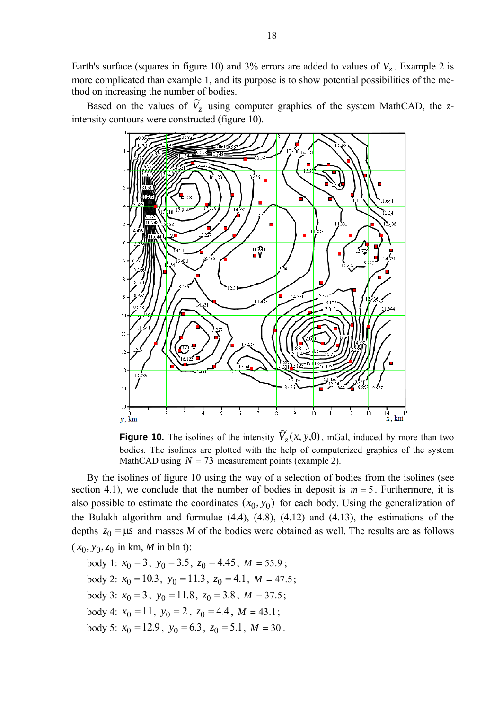Earth's surface (squares in figure 10) and 3% errors are added to values of  $V_z$ . Example 2 is more complicated than example 1, and its purpose is to show potential possibilities of the method on increasing the number of bodies.

Based on the values of  $\tilde{V}_z$  using computer graphics of the system MathCAD, the *z*intensity contours were constructed (figure 10).



**Figure 10.** The isolines of the intensity  $\widetilde{V}_z(x, y, 0)$ , mGal, induced by more than two bodies. The isolines are plotted with the help of computerized graphics of the system MathCAD using  $N = 73$  measurement points (example 2).

By the isolines of figure 10 using the way of a selection of bodies from the isolines (see section 4.1), we conclude that the number of bodies in deposit is  $m = 5$ . Furthermore, it is also possible to estimate the coordinates  $(x_0, y_0)$  for each body. Using the generalization of the Bulakh algorithm and formulae (4.4), (4.8), (4.12) and (4.13), the estimations of the depths  $z_0 = \mu s$  and masses *M* of the bodies were obtained as well. The results are as follows  $(x_0, y_0, z_0 \text{ in km}, M \text{ in bh})$ :

body 1:  $x_0 = 3$ ,  $y_0 = 3.5$ ,  $z_0 = 4.45$ ,  $M = 55.9$ ; body 2:  $x_0 = 10.3$ ,  $y_0 = 11.3$ ,  $z_0 = 4.1$ ,  $M = 47.5$ ; body 3:  $x_0 = 3$ ,  $y_0 = 11.8$ ,  $z_0 = 3.8$ ,  $M = 37.5$ ; body 4:  $x_0 = 11$ ,  $y_0 = 2$ ,  $z_0 = 4.4$ ,  $M = 43.1$ ; body 5:  $x_0 = 12.9$ ,  $y_0 = 6.3$ ,  $z_0 = 5.1$ ,  $M = 30$ .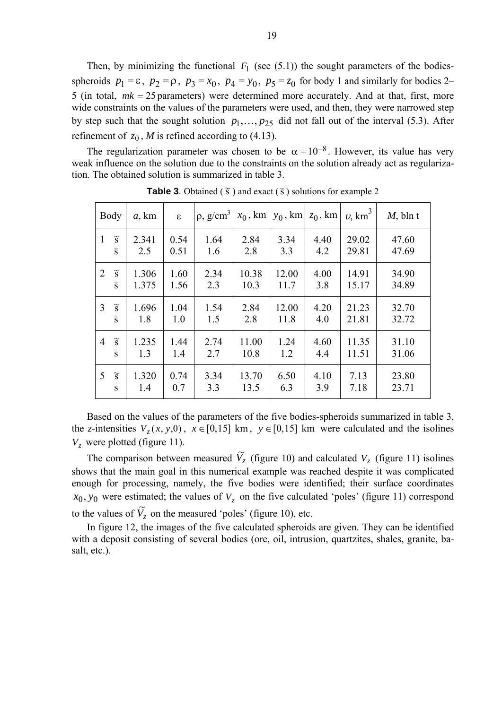Then, by minimizing the functional  $F_1$  (see (5.1)) the sought parameters of the bodiesspheroids  $p_1 = \varepsilon$ ,  $p_2 = \rho$ ,  $p_3 = x_0$ ,  $p_4 = y_0$ ,  $p_5 = z_0$  for body 1 and similarly for bodies 2– 5 (in total, *mk* = 25 parameters) were determined more accurately. And at that, first, more wide constraints on the values of the parameters were used, and then, they were narrowed step by step such that the sought solution  $p_1, \ldots, p_{25}$  did not fall out of the interval (5.3). After refinement of  $z_0$ , *M* is refined according to (4.13).

The regularization parameter was chosen to be  $\alpha = 10^{-8}$ . However, its value has very weak influence on the solution due to the constraints on the solution already act as regularization. The obtained solution is summarized in table 3.

|                | Body                     | $a,$ km | $\mathcal{E}$ | $ \rho, g/cm^3 $ | $x_0$ , km | $y_0$ , km | $z_0$ , km | $v,$ km <sup>3</sup> | $M$ , bln t |
|----------------|--------------------------|---------|---------------|------------------|------------|------------|------------|----------------------|-------------|
| 1              | $\widetilde{\mathbf{S}}$ | 2.341   | 0.54          | 1.64             | 2.84       | 3.34       | 4.40       | 29.02                | 47.60       |
|                | $\overline{S}$           | 2.5     | 0.51          | 1.6              | 2.8        | 3.3        | 4.2        | 29.81                | 47.69       |
| $\overline{2}$ | $\widetilde{\mathbf{S}}$ | 1.306   | 1.60          | 2.34             | 10.38      | 12.00      | 4.00       | 14.91                | 34.90       |
|                | $\overline{S}$           | 1.375   | 1.56          | 2.3              | 10.3       | 11.7       | 3.8        | 15.17                | 34.89       |
| 3              | $\widetilde{\mathbf{S}}$ | 1.696   | 1.04          | 1.54             | 2.84       | 12.00      | 4.20       | 21.23                | 32.70       |
|                | $\overline{S}$           | 1.8     | 1.0           | 1.5              | 2.8        | 11.8       | 4.0        | 21.81                | 32.72       |
| $\overline{4}$ | $\widetilde{\mathbf{S}}$ | 1.235   | 1.44          | 2.74             | 11.00      | 1.24       | 4.60       | 11.35                | 31.10       |
|                | $\overline{S}$           | 1.3     | 1.4           | 2.7              | 10.8       | 1.2        | 4.4        | 11.51                | 31.06       |
| 5              | $\widetilde{S}$          | 1.320   | 0.74          | 3.34             | 13.70      | 6.50       | 4.10       | 7.13                 | 23.80       |
|                | $\overline{S}$           | 1.4     | 0.7           | 3.3              | 13.5       | 6.3        | 3.9        | 7.18                 | 23.71       |

**Table 3**. Obtained  $(\tilde{s})$  and exact  $(\bar{s})$  solutions for example 2

Based on the values of the parameters of the five bodies-spheroids summarized in table 3, the *z*-intensities  $V_z(x, y, 0)$ ,  $x \in [0, 15]$  km,  $y \in [0, 15]$  km were calculated and the isolines  $V_z$  were plotted (figure 11).

The comparison between measured  $\tilde{V}_z$  (figure 10) and calculated  $V_z$  (figure 11) isolines shows that the main goal in this numerical example was reached despite it was complicated enough for processing, namely, the five bodies were identified; their surface coordinates  $x_0, y_0$  were estimated; the values of  $V_z$  on the five calculated 'poles' (figure 11) correspond to the values of  $\widetilde{V}_z$  on the measured 'poles' (figure 10), etc.

In figure 12, the images of the five calculated spheroids are given. They can be identified with a deposit consisting of several bodies (ore, oil, intrusion, quartzites, shales, granite, basalt, etc.).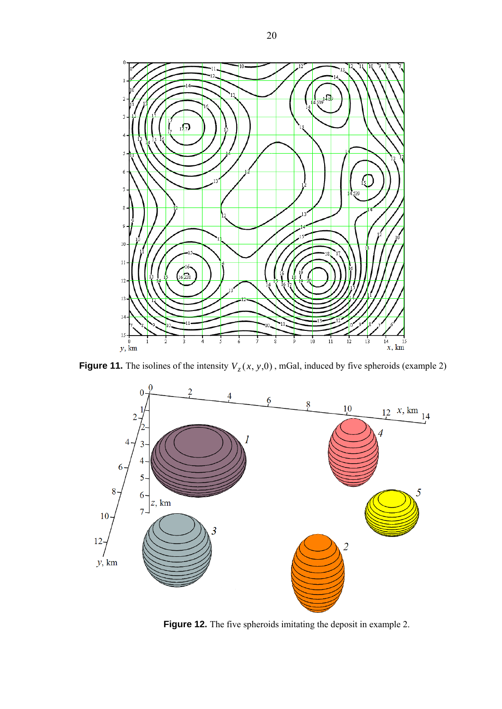

**Figure 11.** The isolines of the intensity  $V_z(x, y, 0)$ , mGal, induced by five spheroids (example 2)



**Figure 12.** The five spheroids imitating the deposit in example 2.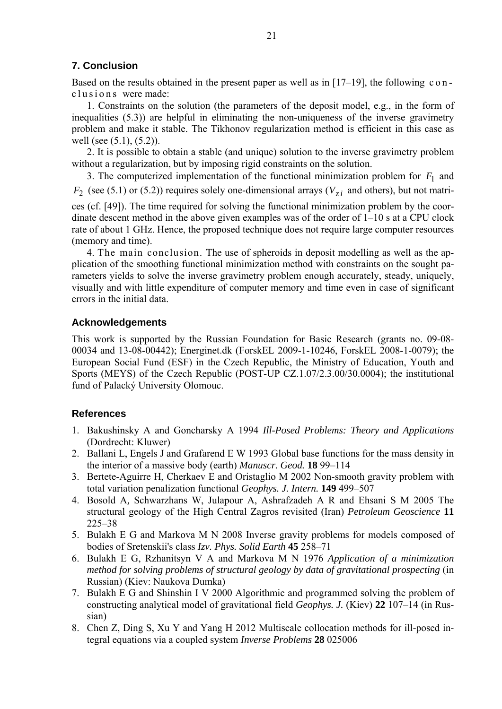# **7. Conclusion**

Based on the results obtained in the present paper as well as in [17–19], the following c o n c lusions were made:

1. Constraints on the solution (the parameters of the deposit model, e.g., in the form of inequalities (5.3)) are helpful in eliminating the non-uniqueness of the inverse gravimetry problem and make it stable. The Tikhonov regularization method is efficient in this case as well (see (5.1), (5.2)).

2. It is possible to obtain a stable (and unique) solution to the inverse gravimetry problem without a regularization, but by imposing rigid constraints on the solution.

3. The computerized implementation of the functional minimization problem for  $F_1$  and  $F_2$  (see (5.1) or (5.2)) requires solely one-dimensional arrays ( $V_{zi}$  and others), but not matri-

ces (cf. [49]). The time required for solving the functional minimization problem by the coordinate descent method in the above given examples was of the order of 1–10 s at a CPU clock rate of about 1 GHz. Hence, the proposed technique does not require large computer resources (memory and time).

4. The main conclusion. The use of spheroids in deposit modelling as well as the application of the smoothing functional minimization method with constraints on the sought parameters yields to solve the inverse gravimetry problem enough accurately, steady, uniquely, visually and with little expenditure of computer memory and time even in case of significant errors in the initial data.

# **Acknowledgements**

This work is supported by the Russian Foundation for Basic Research (grants no. 09-08- 00034 and 13-08-00442); Energinet.dk (ForskEL 2009-1-10246, ForskEL 2008-1-0079); the European Social Fund (ESF) in the Czech Republic, the Ministry of Education, Youth and Sports (MEYS) of the Czech Republic (POST-UP CZ.1.07/2.3.00/30.0004); the institutional fund of Palacký University Olomouc.

# **References**

- 1. Bakushinsky A and Goncharsky A 1994 *Ill-Posed Problems: Theory and Applications* (Dordrecht: Kluwer)
- 2. Ballani L, Engels J and Grafarend E W 1993 Global base functions for the mass density in the interior of a massive body (earth) *Manuscr. Geod.* **18** 99–114
- 3. Bertete-Aguirre H, Cherkaev E and Oristaglio M 2002 Non-smooth gravity problem with total variation penalization functional *Geophys. J. Intern.* **149** 499–507
- 4. Bosold A*,* Schwarzhans W, Julapour A, Ashrafzadeh A R and Ehsani S M 2005 The structural geology of the High Central Zagros revisited (Iran) *Petroleum Geoscience* **11** 225–38
- 5. Bulakh E G and Markova M N 2008 Inverse gravity problems for models composed of bodies of Sretenskii's class *Izv. Phys. Solid Earth* **45** 258–71
- 6. Bulakh E G, Rzhanitsyn V A and Markova M N 1976 *Application of a minimization method for solving problems of structural geology by data of gravitational prospecting (in* Russian) (Kiev: Naukova Dumka)
- 7. Bulakh E G and Shinshin I V 2000 Algorithmic and programmed solving the problem of constructing analytical model of gravitational field *Geophys. J.* (Kiev) **22** 107–14 (in Russian)
- 8. Chen Z, Ding S, Xu Y and Yang H 2012 Multiscale collocation methods for ill-posed integral equations via a coupled system *Inverse Problems* **28** 025006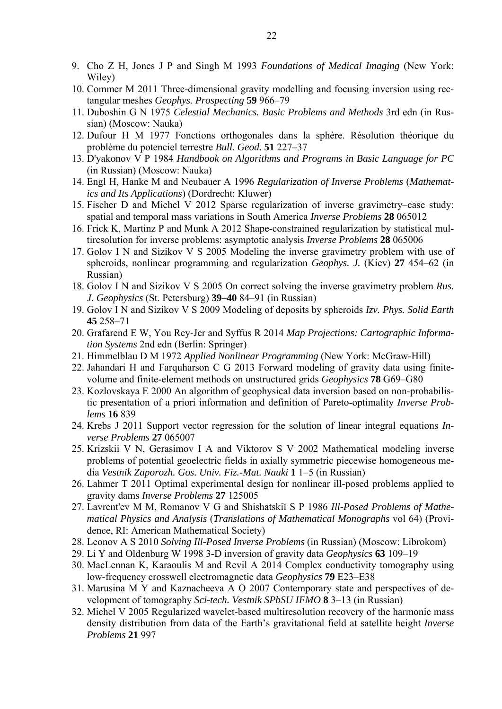- 9. Cho Z H, Jones J P and Singh M 1993 *Foundations of Medical Imaging* (New York: Wiley)
- 10. Commer M 2011 Three-dimensional gravity modelling and focusing inversion using rectangular meshes *Geophys. Prospecting* **59** 966–79
- 11. Duboshin G N 1975 *Celestial Mechanics. Basic Problems and Methods* 3rd edn (in Russian) (Moscow: Nauka)
- 12. Dufour H M 1977 Fonctions orthogonales dans la sphère. Résolution théorique du problème du potenciel terrestre *Bull. Geod.* **51** 227–37
- 13. D'yakonov V P 1984 *Handbook on Algorithms and Programs in Basic Language for PC*  (in Russian) (Moscow: Nauka)
- 14. Engl H, Hanke M and Neubauer A 1996 *Regularization of Inverse Problems* (*Mathematics and Its Applications*) (Dordrecht: Kluwer)
- 15. Fischer D and Michel V 2012 Sparse regularization of inverse gravimetry–case study: spatial and temporal mass variations in South America *Inverse Problems* **28** 065012
- 16. Frick K, Martinz P and Munk A 2012 Shape-constrained regularization by statistical multiresolution for inverse problems: asymptotic analysis *Inverse Problems* **28** 065006
- 17. Golov I N and Sizikov V S 2005 Modeling the inverse gravimetry problem with use of spheroids, nonlinear programming and regularization *Geophys. J.* (Kiev) **27** 454–62 (in Russian)
- 18. Golov I N and Sizikov V S 2005 On correct solving the inverse gravimetry problem *Rus. J. Geophysics* (St. Petersburg) **39–40** 84–91 (in Russian)
- 19. Golov I N and Sizikov V S 2009 Modeling of deposits by spheroids *Izv. Phys. Solid Earth*  **45** 258–71
- 20. Grafarend E W, You Rey-Jer and Syffus R 2014 *Map Projections: Cartographic Information Systems* 2nd edn (Berlin: Springer)
- 21. Himmelblau D M 1972 *Applied Nonlinear Programming* (New York: McGraw-Hill)
- 22. Jahandari H and Farquharson C G 2013 Forward modeling of gravity data using finitevolume and finite-element methods on unstructured grids *Geophysics* **78** G69–G80
- 23. Kozlovskaya E 2000 An algorithm of geophysical data inversion based on non-probabilistic presentation of a priori information and definition of Pareto-optimality *Inverse Problems* **16** 839
- 24. Krebs J 2011 Support vector regression for the solution of linear integral equations *Inverse Problems* **27** 065007
- 25. Krizskii V N, Gerasimov I A and Viktorov S V 2002 Mathematical modeling inverse problems of potential geoelectric fields in axially symmetric piecewise homogeneous media *Vestnik Zaporozh. Gos. Univ. Fiz.-Mat. Nauki* **1** 1–5 (in Russian)
- 26. Lahmer T 2011 Optimal experimental design for nonlinear ill-posed problems applied to gravity dams *Inverse Problems* **27** 125005
- 27. Lavrent'ev M M, Romanov V G and Shishatskiĭ S P 1986 *Ill-Posed Problems of Mathematical Physics and Analysis* (*Translations of Mathematical Monographs* vol 64) (Providence, RI: American Mathematical Society)
- 28. Leonov A S 2010 *Solving Ill-Posed Inverse Problems* (in Russian) (Moscow: Librokom)
- 29. Li Y and Oldenburg W 1998 3-D inversion of gravity data *Geophysics* **63** 109–19
- 30. MacLennan K, Karaoulis M and Revil A 2014 Complex conductivity tomography using low-frequency crosswell electromagnetic data *Geophysics* **79** E23–E38
- 31. Marusina M Y and Kaznacheeva A O 2007 Contemporary state and perspectives of development of tomography *Sci-tech. Vestnik SPbSU IFMO* **8** 3–13 (in Russian)
- 32. Michel V 2005 Regularized wavelet-based multiresolution recovery of the harmonic mass density distribution from data of the Earth's gravitational field at satellite height *Inverse Problems* **21** 997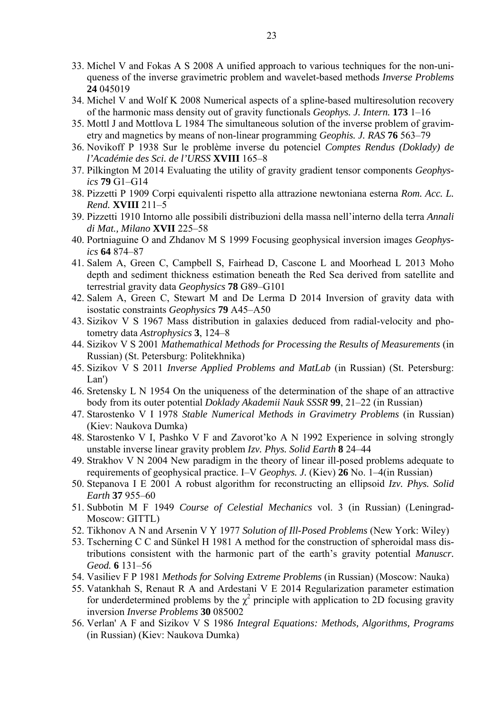- 33. Michel V and Fokas A S 2008 A unified approach to various techniques for the non-uniqueness of the inverse gravimetric problem and wavelet-based methods *Inverse Problems*  **24** 045019
- 34. Michel V and Wolf K 2008 Numerical aspects of a spline-based multiresolution recovery of the harmonic mass density out of gravity functionals *Geophys. J. Intern.* **173** 1–16
- 35. Mottl J and Mottlova L 1984 The simultaneous solution of the inverse problem of gravimetry and magnetics by means of non-linear programming *Geophis. J. RAS* **76** 563–79
- 36. Novikoff P 1938 Sur le problème inverse du potenciel *Comptes Rendus (Doklady) de l'Académie des Sci. de l'URSS* **XVIII** 165–8
- 37. Pilkington M 2014 Evaluating the utility of gravity gradient tensor components *Geophysics* **79** G1–G14
- 38. Pizzetti P 1909 Corpi equivalenti rispetto alla attrazione newtoniana esterna *Rom. Acc. L. Rend.* **XVIII** 211–5
- 39. Pizzetti 1910 Intorno alle possibili distribuzioni della massa nell'interno della terra *Annali di Mat., Milano* **XVII** 225–58
- 40. Portniaguine O and Zhdanov M S 1999 Focusing geophysical inversion images *Geophysics* **64** 874–87
- 41. Salem A, Green C, Campbell S, Fairhead D, Cascone L and Moorhead L 2013 Moho depth and sediment thickness estimation beneath the Red Sea derived from satellite and terrestrial gravity data *Geophysics* **78** G89–G101
- 42. Salem A, Green C, Stewart M and De Lerma D 2014 Inversion of gravity data with isostatic constraints *Geophysics* **79** A45–A50
- 43. Sizikov V S 1967 Mass distribution in galaxies deduced from radial-velocity and photometry data *Astrophysics* **3**, 124–8
- 44. Sizikov V S 2001 *Mathemathical Methods for Processing the Results of Measurements* (in Russian) (St. Petersburg: Politekhnika)
- 45. Sizikov V S 2011 *Inverse Applied Problems and MatLab* (in Russian) (St. Petersburg: Lan')
- 46. Sretensky L N 1954 On the uniqueness of the determination of the shape of an attractive body from its outer potential *Doklady Akademii Nauk SSSR* **99**, 21–22 (in Russian)
- 47. Starostenko V I 1978 *Stable Numerical Methods in Gravimetry Problems* (in Russian) (Kiev: Naukova Dumka)
- 48. Starostenko V I, Pashko V F and Zavorot'ko A N 1992 Experience in solving strongly unstable inverse linear gravity problem *Izv. Phys. Solid Earth* **8** 24–44
- 49. Strakhov V N 2004 New paradigm in the theory of linear ill-posed problems adequate to requirements of geophysical practice. I–V *Geophys. J.* (Kiev) **26** No. 1–4(in Russian)
- 50. Stepanova I E 2001 A robust algorithm for reconstructing an ellipsoid *Izv. Phys. Solid Earth* **37** 955–60
- 51. Subbotin M F 1949 *Course of Celestial Mechanics* vol. 3 (in Russian) (Leningrad-Moscow: GITTL)
- 52. Tikhonov A N and Arsenin V Y 1977 *Solution of Ill-Posed Problems* (New York: Wiley)
- 53. Tscherning C C and Sünkel H 1981 A method for the construction of spheroidal mass distributions consistent with the harmonic part of the earth's gravity potential *Manuscr. Geod.* **6** 131–56
- 54. Vasiliev F P 1981 *Methods for Solving Extreme Problems* (in Russian) (Moscow: Nauka)
- 55. Vatankhah S, Renaut R A and Ardestani V E 2014 Regularization parameter estimation for underdetermined problems by the  $\chi^2$  principle with application to 2D focusing gravity inversion *Inverse Problems* **30** 085002
- 56. Verlan' A F and Sizikov V S 1986 *Integral Equations: Methods, Algorithms, Programs* (in Russian) (Kiev: Naukova Dumka)